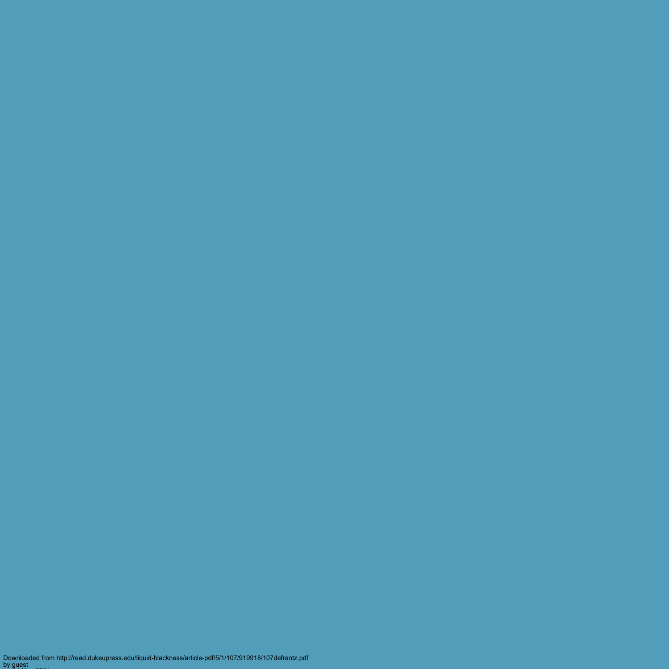Downloaded from http://read.dukeupress.edu/liquid-blackness/article-pdf/5/1/107/919918/107defrantz.pdf by guest

on 04 May 2021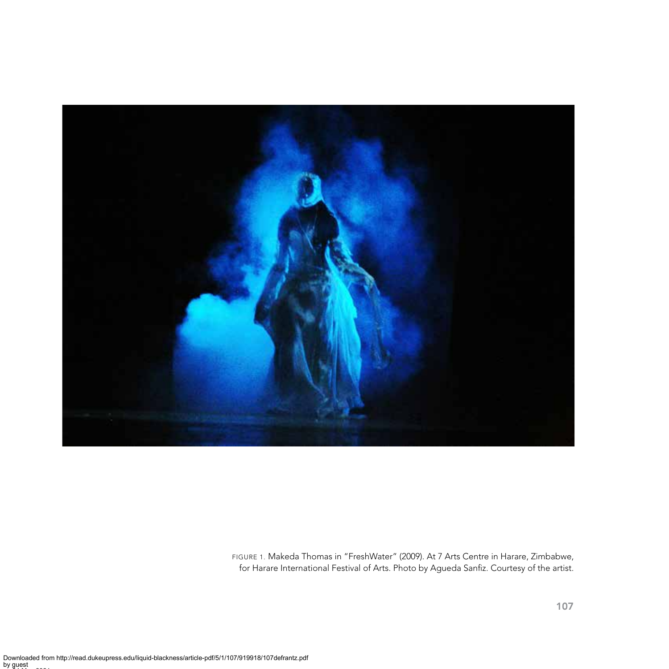

FIGURE 1. Makeda Thomas in "FreshWater" (2009). At 7 Arts Centre in Harare, Zimbabwe, for Harare International Festival of Arts. Photo by Agueda Sanfiz. Courtesy of the artist.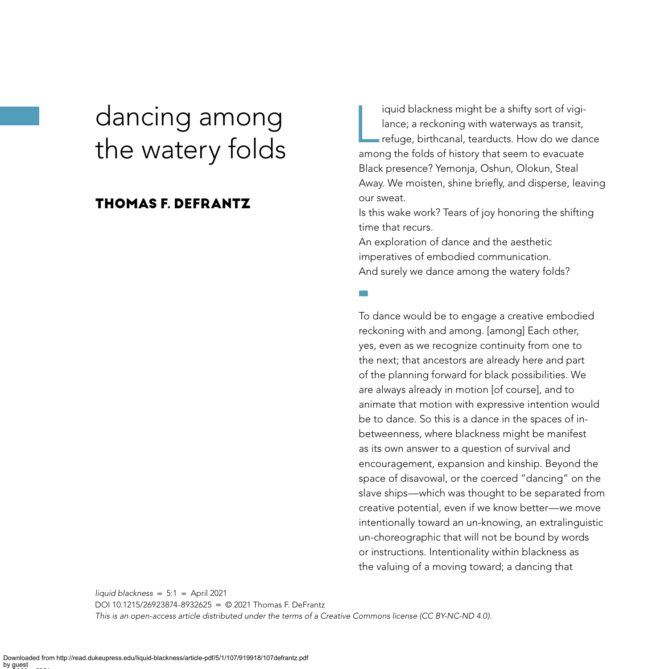# dancing among the watery folds

### **THOMAS F. DEFRANTZ**

 $\overline{\mathsf{L}}$ iquid blackness might be a shifty sort of vigilance; a reckoning with waterways as transit, refuge, birthcanal, tearducts. How do we dance among the folds of history that seem to evacuate Black presence? Yemonja, Oshun, Olokun, Steal Away. We moisten, shine briefly, and disperse, leaving our sweat.

Is this wake work? Tears of joy honoring the shifting time that recurs.

An exploration of dance and the aesthetic imperatives of embodied communication. And surely we dance among the watery folds?

■■

To dance would be to engage a creative embodied reckoning with and among. [among] Each other, yes, even as we recognize continuity from one to the next; that ancestors are already here and part of the planning forward for black possibilities. We are always already in motion [of course], and to animate that motion with expressive intention would be to dance. So this is a dance in the spaces of inbetweenness, where blackness might be manifest as its own answer to a question of survival and encouragement, expansion and kinship. Beyond the space of disavowal, or the coerced "dancing" on the slave ships—which was thought to be separated from creative potential, even if we know better—we move intentionally toward an un-knowing, an extralinguistic un-choreographic that will not be bound by words or instructions. Intentionality within blackness as the valuing of a moving toward; a dancing that

 $liquid$  blackness =  $5:1$  = April 2021 DOI 10.1215/26923874-8932625 = © 2021 Thomas F. DeFrantz *This is an open-access article distributed under the terms of a Creative Commons license (CC BY-NC-ND 4.0).*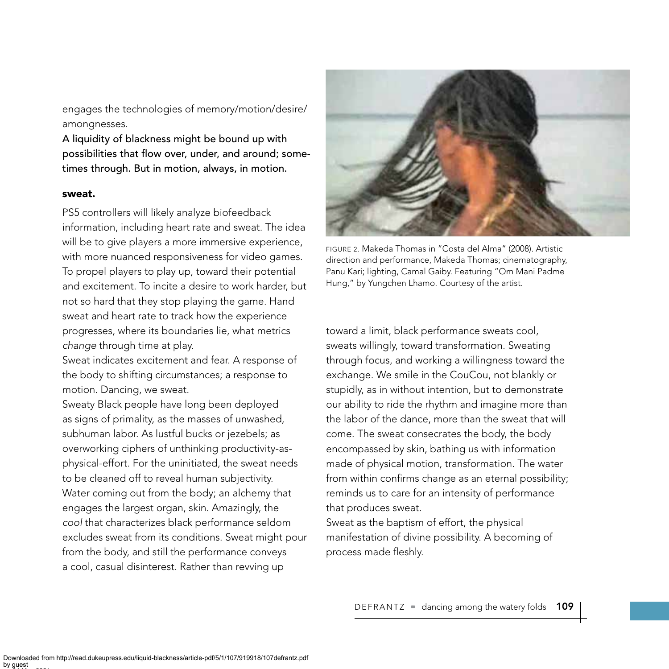engages the technologies of memory/motion/desire/ amongnesses.

A liquidity of blackness might be bound up with possibilities that flow over, under, and around; sometimes through. But in motion, always, in motion.

#### sweat.

PS5 controllers will likely analyze biofeedback information, including heart rate and sweat. The idea will be to give players a more immersive experience, with more nuanced responsiveness for video games. To propel players to play up, toward their potential and excitement. To incite a desire to work harder, but not so hard that they stop playing the game. Hand sweat and heart rate to track how the experience progresses, where its boundaries lie, what metrics *change* through time at play.

Sweat indicates excitement and fear. A response of the body to shifting circumstances; a response to motion. Dancing, we sweat.

Sweaty Black people have long been deployed as signs of primality, as the masses of unwashed, subhuman labor. As lustful bucks or jezebels; as overworking ciphers of unthinking productivity-asphysical-effort. For the uninitiated, the sweat needs to be cleaned off to reveal human subjectivity. Water coming out from the body; an alchemy that engages the largest organ, skin. Amazingly, the *cool* that characterizes black performance seldom excludes sweat from its conditions. Sweat might pour from the body, and still the performance conveys a cool, casual disinterest. Rather than revving up



FIGURE 2. Makeda Thomas in "Costa del Alma" (2008). Artistic direction and performance, Makeda Thomas; cinematography, Panu Kari; lighting, Camal Gaiby. Featuring "Om Mani Padme Hung," by Yungchen Lhamo. Courtesy of the artist.

toward a limit, black performance sweats cool, sweats willingly, toward transformation. Sweating through focus, and working a willingness toward the exchange. We smile in the CouCou, not blankly or stupidly, as in without intention, but to demonstrate our ability to ride the rhythm and imagine more than the labor of the dance, more than the sweat that will come. The sweat consecrates the body, the body encompassed by skin, bathing us with information made of physical motion, transformation. The water from within confirms change as an eternal possibility; reminds us to care for an intensity of performance that produces sweat.

Sweat as the baptism of effort, the physical manifestation of divine possibility. A becoming of process made fleshly.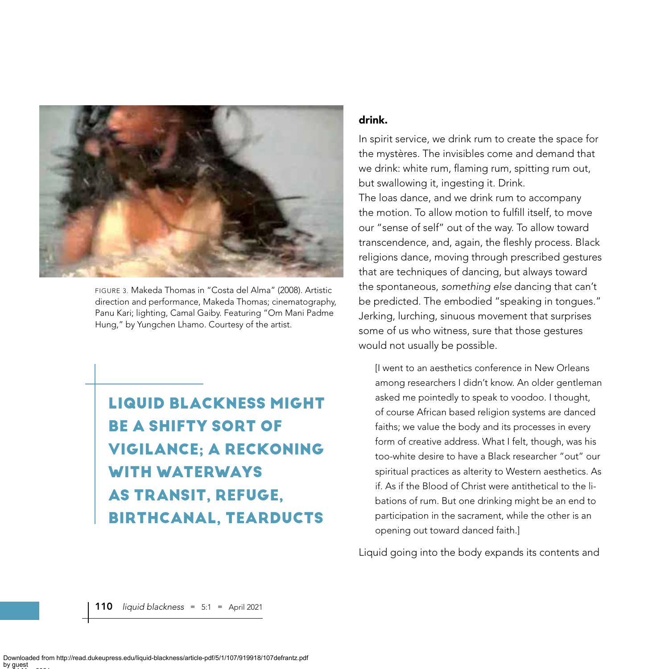

FIGURE 3. Makeda Thomas in "Costa del Alma" (2008). Artistic direction and performance, Makeda Thomas; cinematography, Panu Kari; lighting, Camal Gaiby. Featuring "Om Mani Padme Hung," by Yungchen Lhamo. Courtesy of the artist.

**LIQUID BLACKNESS MIGHT BE A SHIFTY SORT OF VIGILANCE; A RECKONING WITH WATERWAYS AS TRANSIT, REFUGE, BIRTHCANAL, TEARDUCTS**

#### drink.

In spirit service, we drink rum to create the space for the mystères. The invisibles come and demand that we drink: white rum, flaming rum, spitting rum out, but swallowing it, ingesting it. Drink. The loas dance, and we drink rum to accompany the motion. To allow motion to fulfill itself, to move our "sense of self" out of the way. To allow toward transcendence, and, again, the fleshly process. Black religions dance, moving through prescribed gestures that are techniques of dancing, but always toward the spontaneous, *something else* dancing that can't be predicted. The embodied "speaking in tongues." Jerking, lurching, sinuous movement that surprises some of us who witness, sure that those gestures would not usually be possible.

[I went to an aesthetics conference in New Orleans among researchers I didn't know. An older gentleman asked me pointedly to speak to voodoo. I thought, of course African based religion systems are danced faiths; we value the body and its processes in every form of creative address. What I felt, though, was his too-white desire to have a Black researcher "out" our spiritual practices as alterity to Western aesthetics. As if. As if the Blood of Christ were antithetical to the libations of rum. But one drinking might be an end to participation in the sacrament, while the other is an opening out toward danced faith.]

Liquid going into the body expands its contents and

on 04 May 2021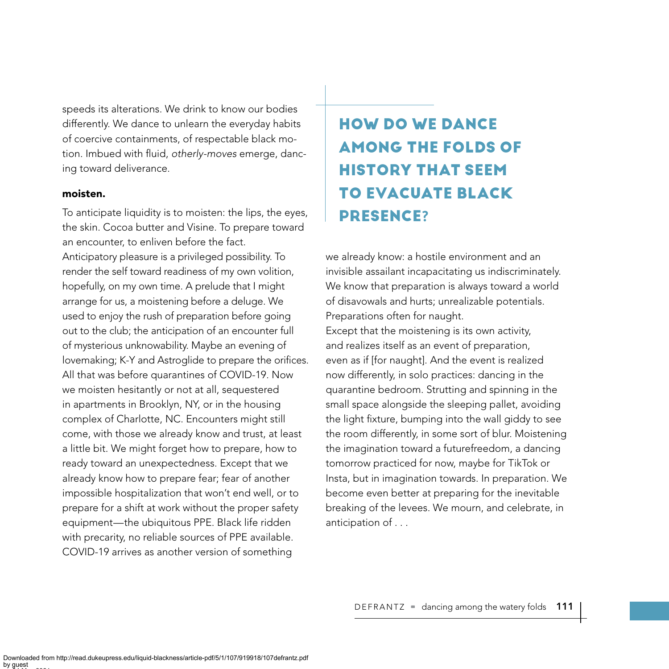speeds its alterations. We drink to know our bodies differently. We dance to unlearn the everyday habits of coercive containments, of respectable black motion. Imbued with fluid, *otherly-moves* emerge, dancing toward deliverance.

#### moisten.

To anticipate liquidity is to moisten: the lips, the eyes, the skin. Cocoa butter and Visine. To prepare toward an encounter, to enliven before the fact. Anticipatory pleasure is a privileged possibility. To render the self toward readiness of my own volition, hopefully, on my own time. A prelude that I might arrange for us, a moistening before a deluge. We used to enjoy the rush of preparation before going out to the club; the anticipation of an encounter full of mysterious unknowability. Maybe an evening of lovemaking; K-Y and Astroglide to prepare the orifices. All that was before quarantines of COVID-19. Now we moisten hesitantly or not at all, sequestered in apartments in Brooklyn, NY, or in the housing complex of Charlotte, NC. Encounters might still come, with those we already know and trust, at least a little bit. We might forget how to prepare, how to ready toward an unexpectedness. Except that we already know how to prepare fear; fear of another impossible hospitalization that won't end well, or to prepare for a shift at work without the proper safety equipment—the ubiquitous PPE. Black life ridden with precarity, no reliable sources of PPE available. COVID-19 arrives as another version of something

## **HOW DO WE DANCE AMONG THE FOLDS OF HISTORY THAT SEEM TO EVACUATE BLACK PRESENCE?**

we already know: a hostile environment and an invisible assailant incapacitating us indiscriminately. We know that preparation is always toward a world of disavowals and hurts; unrealizable potentials. Preparations often for naught. Except that the moistening is its own activity, and realizes itself as an event of preparation, even as if [for naught]. And the event is realized now differently, in solo practices: dancing in the quarantine bedroom. Strutting and spinning in the small space alongside the sleeping pallet, avoiding the light fixture, bumping into the wall giddy to see the room differently, in some sort of blur. Moistening the imagination toward a futurefreedom, a dancing tomorrow practiced for now, maybe for TikTok or Insta, but in imagination towards. In preparation. We become even better at preparing for the inevitable breaking of the levees. We mourn, and celebrate, in anticipation of . . .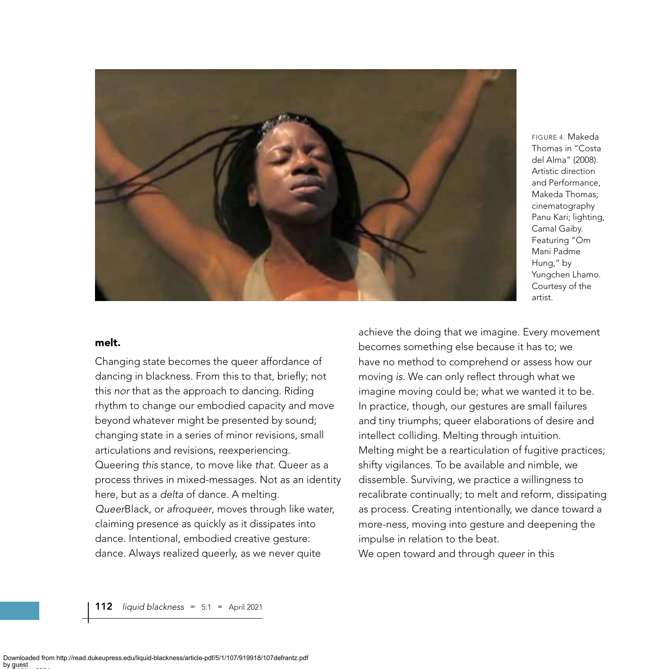

FIGURE 4. Makeda Thomas in "Costa del Alma" (2008). Artistic direction and Performance, Makeda Thomas; cinematography Panu Kari; lighting, Camal Gaiby. Featuring "Om Mani Padme Hung," by Yungchen Lhamo. Courtesy of the artist.

#### melt.

Changing state becomes the queer affordance of dancing in blackness. From this to that, briefly; not this *nor* that as the approach to dancing. Riding rhythm to change our embodied capacity and move beyond whatever might be presented by sound; changing state in a series of minor revisions, small articulations and revisions, reexperiencing. Queering *this* stance, to move like *that*. Queer as a process thrives in mixed-messages. Not as an identity here, but as a *delta* of dance. A melting. *Queer*Black, or *afroqueer*, moves through like water, claiming presence as quickly as it dissipates into dance. Intentional, embodied creative gesture: dance. Always realized queerly, as we never quite

achieve the doing that we imagine. Every movement becomes something else because it has to; we have no method to comprehend or assess how our moving *is*. We can only reflect through what we imagine moving could be; what we wanted it to be. In practice, though, our gestures are small failures and tiny triumphs; queer elaborations of desire and intellect colliding. Melting through intuition. Melting might be a rearticulation of fugitive practices; shifty vigilances. To be available and nimble, we dissemble. Surviving, we practice a willingness to recalibrate continually; to melt and reform, dissipating as process. Creating intentionally, we dance toward a more-ness, moving into gesture and deepening the impulse in relation to the beat. We open toward and through *queer* in this

112  $liquid$  *blackness* =  $5:1$  = April 2021

Downloaded from http://read.dukeupress.edu/liquid-blackness/article-pdf/5/1/107/919918/107defrantz.pdf by guest

on 04 May 2021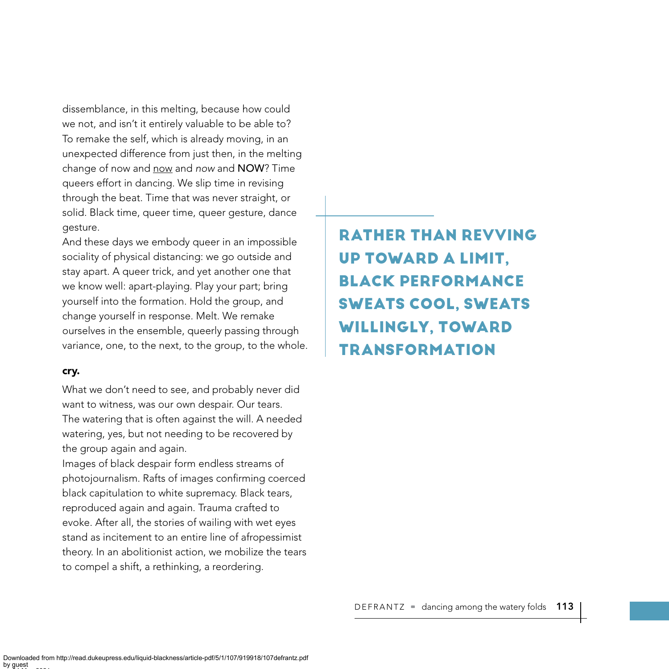dissemblance, in this melting, because how could we not, and isn't it entirely valuable to be able to? To remake the self, which is already moving, in an unexpected difference from just then, in the melting change of now and now and *now* and NOW? Time queers effort in dancing. We slip time in revising through the beat. Time that was never straight, or solid. Black time, queer time, queer gesture, dance gesture.

And these days we embody queer in an impossible sociality of physical distancing: we go outside and stay apart. A queer trick, and yet another one that we know well: apart-playing. Play your part; bring yourself into the formation. Hold the group, and change yourself in response. Melt. We remake ourselves in the ensemble, queerly passing through variance, one, to the next, to the group, to the whole.

#### cry.

What we don't need to see, and probably never did want to witness, was our own despair. Our tears. The watering that is often against the will. A needed watering, yes, but not needing to be recovered by the group again and again.

Images of black despair form endless streams of photojournalism. Rafts of images confirming coerced black capitulation to white supremacy. Black tears, reproduced again and again. Trauma crafted to evoke. After all, the stories of wailing with wet eyes stand as incitement to an entire line of afropessimist theory. In an abolitionist action, we mobilize the tears to compel a shift, a rethinking, a reordering.

**RATHER THAN REVVING UP TOWARD A LIMIT, BLACK PERFORMANCE SWEATS COOL, SWEATS WILLINGLY, TOWARD TRANSFORMATION**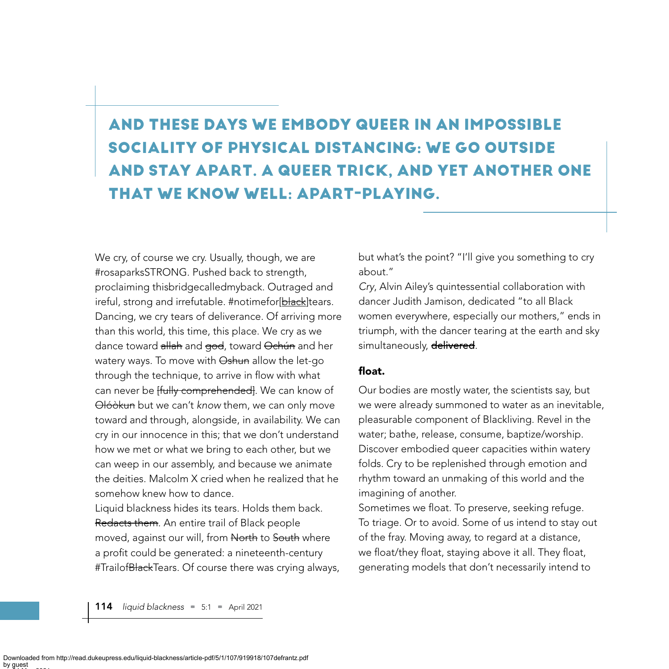### **AND THESE DAYS WE EMBODY QUEER IN AN IMPOSSIBLE SOCIALITY OF PHYSICAL DISTANCING: WE GO OUTSIDE AND STAY APART. A QUEER TRICK, AND YET ANOTHER ONE THAT WE KNOW WELL: APART-PLAYING.**

We cry, of course we cry. Usually, though, we are #rosaparksSTRONG. Pushed back to strength, proclaiming thisbridgecalledmyback. Outraged and ireful, strong and irrefutable. #notimefor[black]tears. Dancing, we cry tears of deliverance. Of arriving more than this world, this time, this place. We cry as we dance toward allah and god, toward Ochún and her watery ways. To move with Oshun allow the let-go through the technique, to arrive in flow with what can never be [fully comprehended]. We can know of Olóòkun but we can't *know* them, we can only move toward and through, alongside, in availability. We can cry in our innocence in this; that we don't understand how we met or what we bring to each other, but we can weep in our assembly, and because we animate the deities. Malcolm X cried when he realized that he somehow knew how to dance.

Liquid blackness hides its tears. Holds them back. Redacts them. An entire trail of Black people moved, against our will, from North to South where a profit could be generated: a nineteenth-century #TrailofBlackTears. Of course there was crying always, but what's the point? "I'll give you something to cry about."

*Cry*, Alvin Ailey's quintessential collaboration with dancer Judith Jamison, dedicated "to all Black women everywhere, especially our mothers," ends in triumph, with the dancer tearing at the earth and sky simultaneously, delivered.

#### float.

Our bodies are mostly water, the scientists say, but we were already summoned to water as an inevitable, pleasurable component of Blackliving. Revel in the water; bathe, release, consume, baptize/worship. Discover embodied queer capacities within watery folds. Cry to be replenished through emotion and rhythm toward an unmaking of this world and the imagining of another.

Sometimes we float. To preserve, seeking refuge. To triage. Or to avoid. Some of us intend to stay out of the fray. Moving away, to regard at a distance, we float/they float, staying above it all. They float, generating models that don't necessarily intend to

114  $l$ iquid blackness =  $5:1$  = April 2021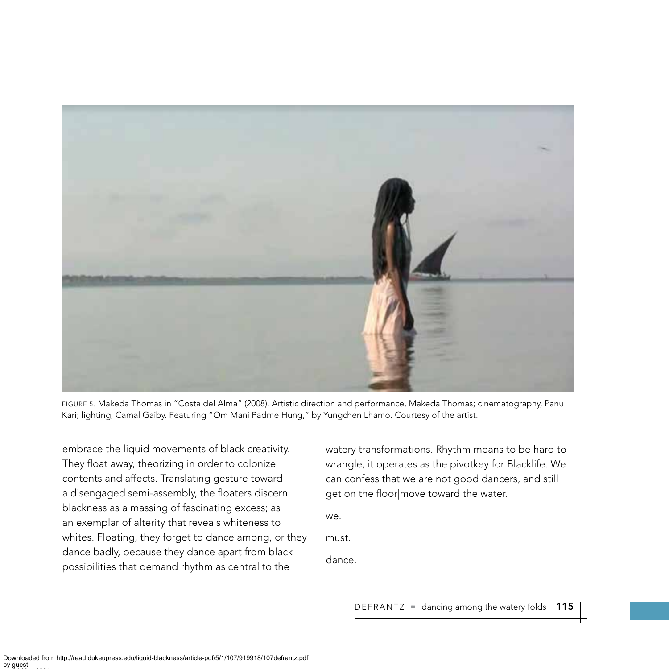

FIGURE 5. Makeda Thomas in "Costa del Alma" (2008). Artistic direction and performance, Makeda Thomas; cinematography, Panu Kari; lighting, Camal Gaiby. Featuring "Om Mani Padme Hung," by Yungchen Lhamo. Courtesy of the artist.

embrace the liquid movements of black creativity. They float away, theorizing in order to colonize contents and affects. Translating gesture toward a disengaged semi-assembly, the floaters discern blackness as a massing of fascinating excess; as an exemplar of alterity that reveals whiteness to whites. Floating, they forget to dance among, or they dance badly, because they dance apart from black possibilities that demand rhythm as central to the

watery transformations. Rhythm means to be hard to wrangle, it operates as the pivotkey for Blacklife. We can confess that we are not good dancers, and still get on the floor|move toward the water.

we.

must.

dance.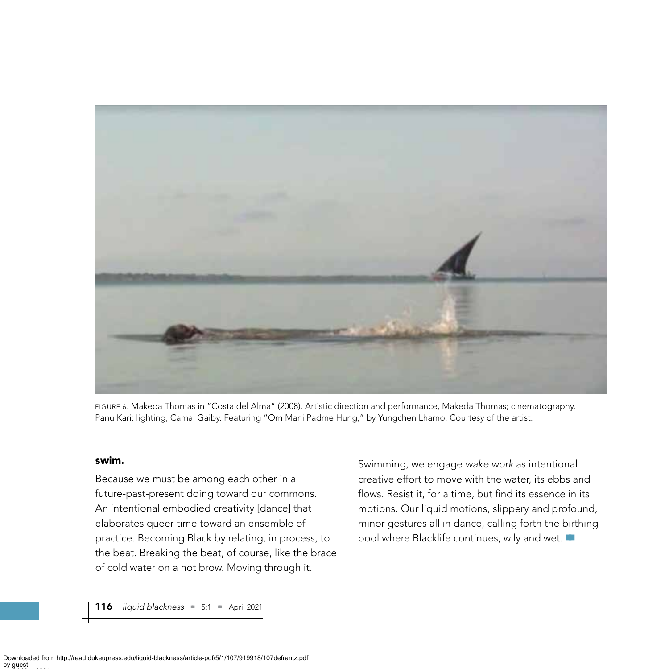

FIGURE 6. Makeda Thomas in "Costa del Alma" (2008). Artistic direction and performance, Makeda Thomas; cinematography, Panu Kari; lighting, Camal Gaiby. Featuring "Om Mani Padme Hung," by Yungchen Lhamo. Courtesy of the artist.

#### swim.

Because we must be among each other in a future-past-present doing toward our commons. An intentional embodied creativity [dance] that elaborates queer time toward an ensemble of practice. Becoming Black by relating, in process, to the beat. Breaking the beat, of course, like the brace of cold water on a hot brow. Moving through it.

Swimming, we engage *wake work* as intentional creative effort to move with the water, its ebbs and flows. Resist it, for a time, but find its essence in its motions. Our liquid motions, slippery and profound, minor gestures all in dance, calling forth the birthing pool where Blacklife continues, wily and wet. ■■

**116** *liquid blackness* =  $5:1$  = April 2021

Downloaded from http://read.dukeupress.edu/liquid-blackness/article-pdf/5/1/107/919918/107defrantz.pdf by guest on 04 May 2021